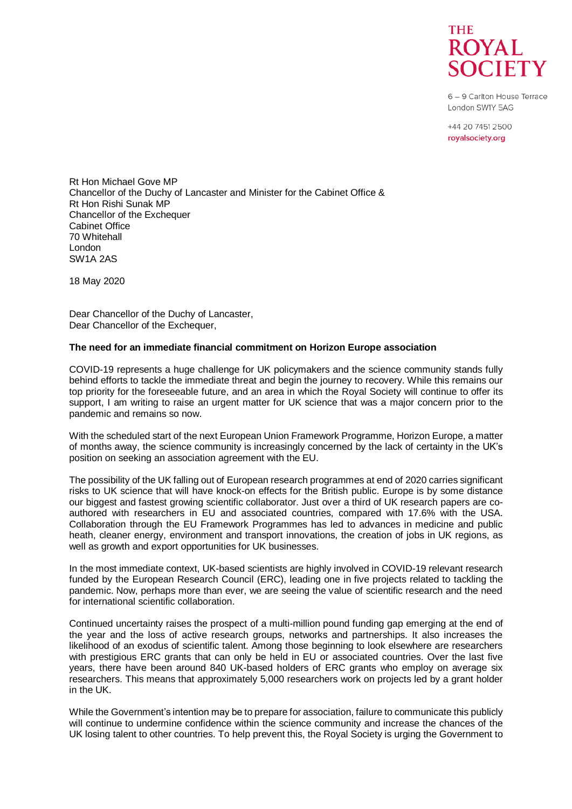

6 - 9 Carlton House Terrace London SW1Y 5AG

+44 20 7451 2500 royalsociety.org

Rt Hon Michael Gove MP Chancellor of the Duchy of Lancaster and Minister for the Cabinet Office & Rt Hon Rishi Sunak MP Chancellor of the Exchequer Cabinet Office 70 Whitehall London SW1A 2AS

18 May 2020

Dear Chancellor of the Duchy of Lancaster, Dear Chancellor of the Exchequer.

## **The need for an immediate financial commitment on Horizon Europe association**

COVID-19 represents a huge challenge for UK policymakers and the science community stands fully behind efforts to tackle the immediate threat and begin the journey to recovery. While this remains our top priority for the foreseeable future, and an area in which the Royal Society will continue to offer its support, I am writing to raise an urgent matter for UK science that was a major concern prior to the pandemic and remains so now.

With the scheduled start of the next European Union Framework Programme, Horizon Europe, a matter of months away, the science community is increasingly concerned by the lack of certainty in the UK's position on seeking an association agreement with the EU.

The possibility of the UK falling out of European research programmes at end of 2020 carries significant risks to UK science that will have knock-on effects for the British public. Europe is by some distance our biggest and fastest growing scientific collaborator. Just over a third of UK research papers are coauthored with researchers in EU and associated countries, compared with 17.6% with the USA. Collaboration through the EU Framework Programmes has led to advances in medicine and public heath, cleaner energy, environment and transport innovations, the creation of jobs in UK regions, as well as growth and export opportunities for UK businesses.

In the most immediate context, UK-based scientists are highly involved in COVID-19 relevant research funded by the European Research Council (ERC), leading one in five projects related to tackling the pandemic. Now, perhaps more than ever, we are seeing the value of scientific research and the need for international scientific collaboration.

Continued uncertainty raises the prospect of a multi-million pound funding gap emerging at the end of the year and the loss of active research groups, networks and partnerships. It also increases the likelihood of an exodus of scientific talent. Among those beginning to look elsewhere are researchers with prestigious ERC grants that can only be held in EU or associated countries. Over the last five years, there have been around 840 UK-based holders of ERC grants who employ on average six researchers. This means that approximately 5,000 researchers work on projects led by a grant holder in the UK.

While the Government's intention may be to prepare for association, failure to communicate this publicly will continue to undermine confidence within the science community and increase the chances of the UK losing talent to other countries. To help prevent this, the Royal Society is urging the Government to